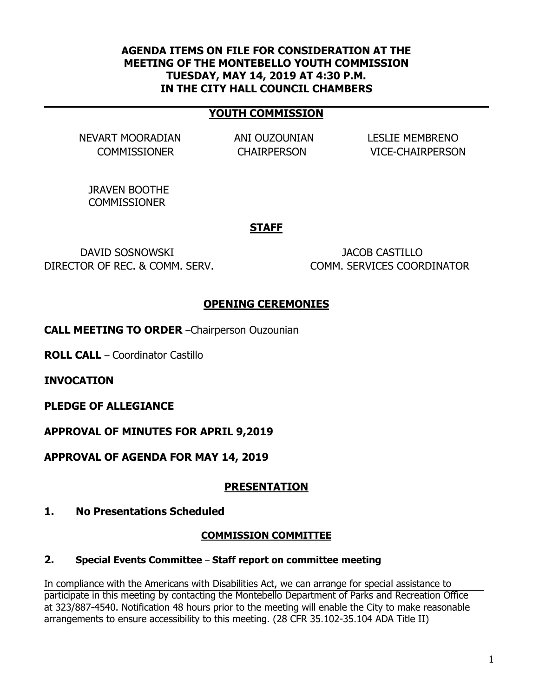### **AGENDA ITEMS ON FILE FOR CONSIDERATION AT THE MEETING OF THE MONTEBELLO YOUTH COMMISSION TUESDAY, MAY 14, 2019 AT 4:30 P.M. IN THE CITY HALL COUNCIL CHAMBERS**

### **YOUTH COMMISSION**

NEVART MOORADIAN ANI OUZOUNIAN LESLIE MEMBRENO

COMMISSIONER CHAIRPERSON VICE-CHAIRPERSON

JRAVEN BOOTHE **COMMISSIONER** 

#### **STAFF**

DAVID SOSNOWSKI JACOB CASTILLO DIRECTOR OF REC. & COMM. SERV. COMM. SERVICES COORDINATOR

### **OPENING CEREMONIES**

**CALL MEETING TO ORDER** –Chairperson Ouzounian

**ROLL CALL** – Coordinator Castillo

**INVOCATION**

**PLEDGE OF ALLEGIANCE**

**APPROVAL OF MINUTES FOR APRIL 9,2019**

**APPROVAL OF AGENDA FOR MAY 14, 2019**

#### **PRESENTATION**

**1. No Presentations Scheduled**

#### **COMMISSION COMMITTEE**

**2. Special Events Committee** – **Staff report on committee meeting**

In compliance with the Americans with Disabilities Act, we can arrange for special assistance to participate in this meeting by contacting the Montebello Department of Parks and Recreation Office at 323/887-4540. Notification 48 hours prior to the meeting will enable the City to make reasonable arrangements to ensure accessibility to this meeting. (28 CFR 35.102-35.104 ADA Title II)